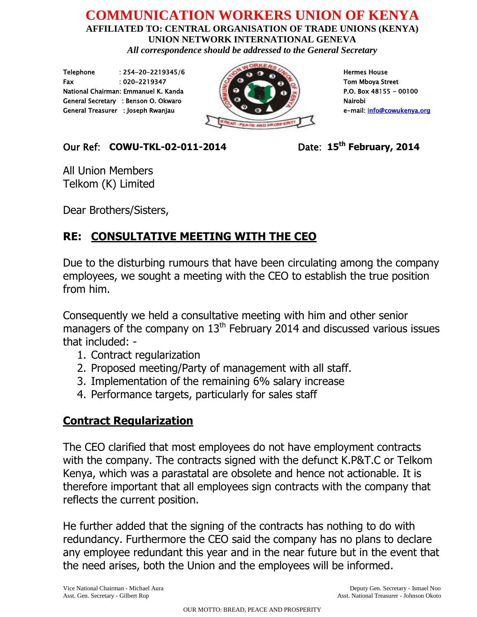## **COMMUNICATION WORKERS UNION OF KENYA AFFILIATED TO: CENTRAL ORGANISATION OF TRADE UNIONS (KENYA)**

**UNION NETWORK INTERNATIONAL GENEVA** *All correspondence should be addressed to the General Secretary*

Telephone : 254-20-2219345/6 Hermes House Fax : 020-2219347 Tom Mboya Street National Chairman: Emmanuel K. Kanda P.O. Box 48155 - 00100 General Secretary : Benson O. Okwaro National National National National National National National National N General Treasurer : Joseph Rwanjau e-mail: info@cowukenya.org



### $Our Ref: COWU-TKL-02-011-2014$

Date: 15<sup>th</sup> February, 2014

All Union Members Telkom (K) Limited

Dear Brothers/Sisters,

# **RE: CONSULTATIVE MEETING WITH THE CEO**

Due to the disturbing rumours that have been circulating among the company employees, we sought a meeting with the CEO to establish the true position from him.

Consequently we held a consultative meeting with him and other senior managers of the company on  $13<sup>th</sup>$  February 2014 and discussed various issues that included: -

- 1. Contract regularization
- 2. Proposed meeting/Party of management with all staff.
- 3. Implementation of the remaining 6% salary increase
- 4. Performance targets, particularly for sales staff

## **Contract Regularization**

The CEO clarified that most employees do not have employment contracts with the company. The contracts signed with the defunct K.P&T.C or Telkom Kenya, which was a parastatal are obsolete and hence not actionable. It is therefore important that all employees sign contracts with the company that reflects the current position.

He further added that the signing of the contracts has nothing to do with redundancy. Furthermore the CEO said the company has no plans to declare any employee redundant this year and in the near future but in the event that the need arises, both the Union and the employees will be informed.